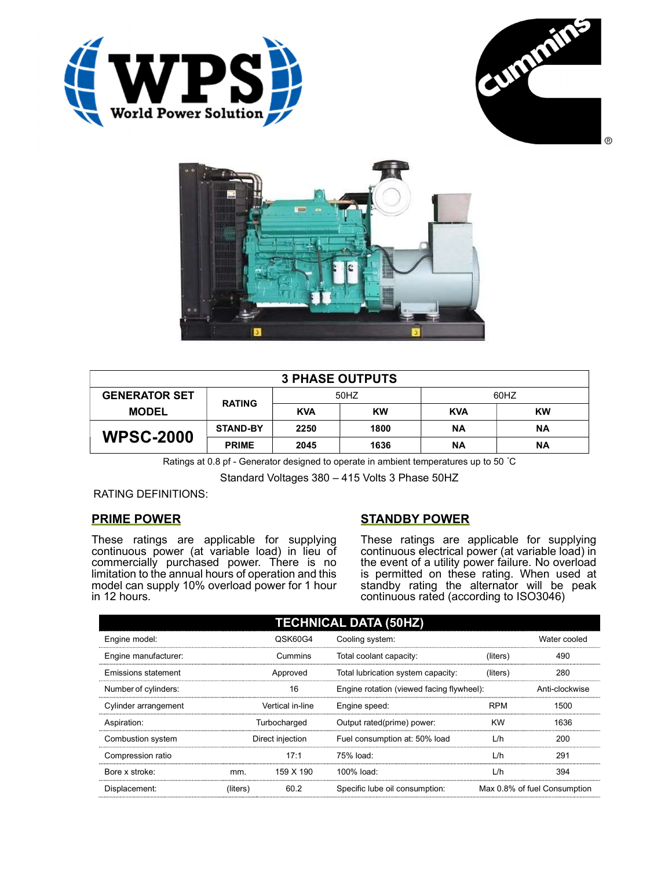





| <b>3 PHASE OUTPUTS</b> |                 |            |           |            |           |  |
|------------------------|-----------------|------------|-----------|------------|-----------|--|
| <b>GENERATOR SET</b>   | <b>RATING</b>   | 50HZ       |           | 60HZ       |           |  |
| <b>MODEL</b>           |                 | <b>KVA</b> | <b>KW</b> | <b>KVA</b> | <b>KW</b> |  |
| <b>WPSC-2000</b>       | <b>STAND-BY</b> | 2250       | 1800      | ΝA         | ΝA        |  |
|                        | <b>PRIME</b>    | 2045       | 1636      | ΝA         | ΝA        |  |

Ratings at 0.8 pf - Generator designed to operate in ambient temperatures up to 50 °C

Standard Voltages 380 – 415 Volts 3 Phase 50HZ

## RATING DEFINITIONS:

## PRIME POWER

These ratings are applicable for supplying continuous power (at variable load) in lieu of commercially purchased power. There is no limitation to the annual hours of operation and this model can supply 10% overload power for 1 hour in 12 hours.

## STANDBY POWER

These ratings are applicable for supplying continuous electrical power (at variable load) in the event of a utility power failure. No overload is permitted on these rating. When used at standby rating the alternator will be peak continuous rated (according to ISO3046)

| <b>TECHNICAL DATA (50HZ)</b> |                  |           |                                           |            |                              |  |
|------------------------------|------------------|-----------|-------------------------------------------|------------|------------------------------|--|
| Engine model:                |                  | QSK60G4   | Cooling system:                           |            | Water cooled                 |  |
| Engine manufacturer:         |                  | Cummins   | Total coolant capacity:                   | (liters)   | 490                          |  |
| Emissions statement          | Approved         |           | Total lubrication system capacity:        | (liters)   | 280                          |  |
| Number of cylinders:         | 16               |           | Engine rotation (viewed facing flywheel): |            | Anti-clockwise               |  |
| Cylinder arrangement         | Vertical in-line |           | Engine speed:                             | <b>RPM</b> | 1500                         |  |
| Aspiration:                  | Turbocharged     |           | Output rated(prime) power:                | <b>KW</b>  | 1636                         |  |
| Combustion system            | Direct injection |           | Fuel consumption at: 50% load             | L/h        | 200                          |  |
| Compression ratio            |                  | 17:1      | 75% load:                                 | L/h        | 291                          |  |
| Bore x stroke:               | mm.              | 159 X 190 | 100% load:                                | L/h        | 394                          |  |
| Displacement:                | (liters)         | 60.2      | Specific lube oil consumption:            |            | Max 0.8% of fuel Consumption |  |